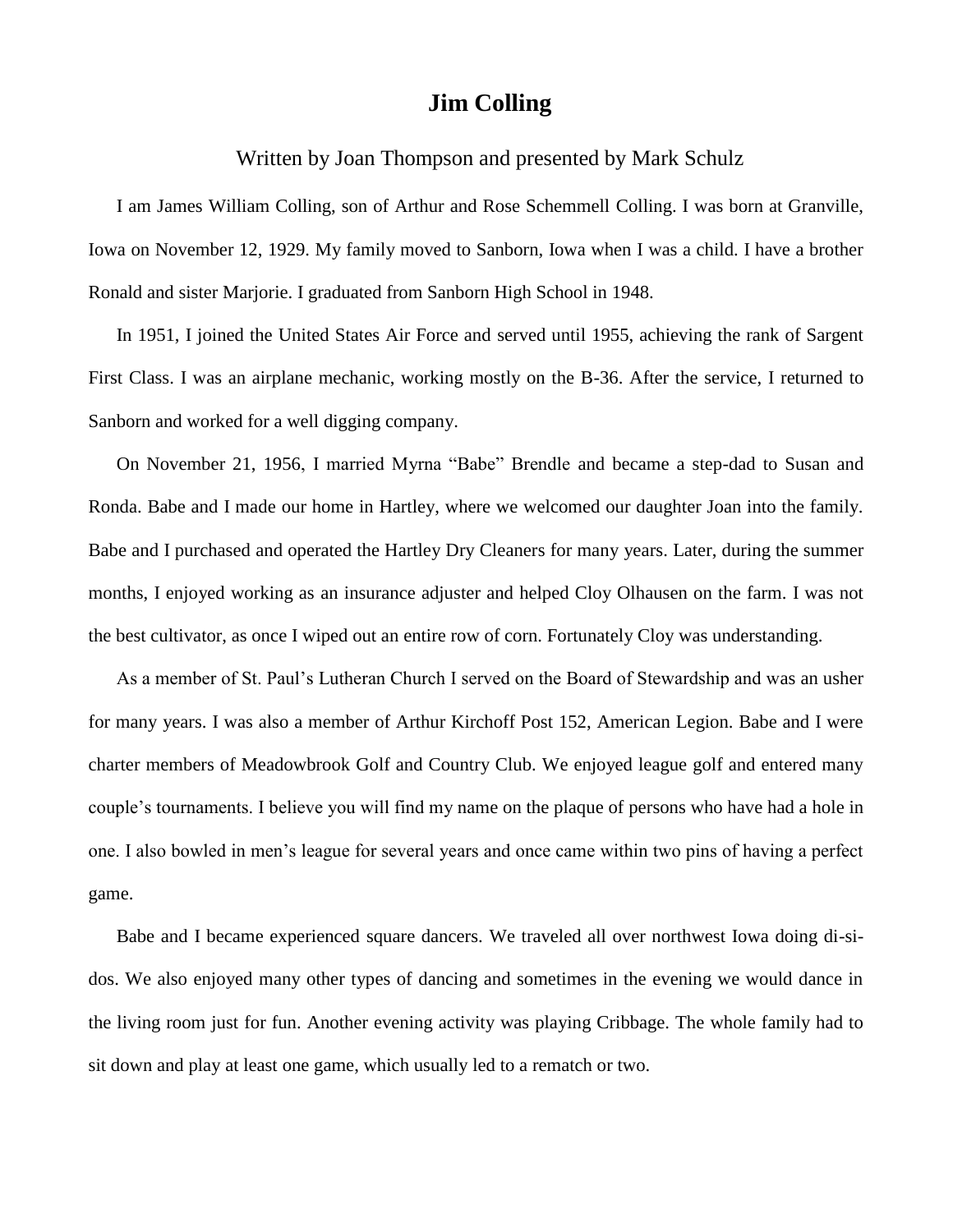## **Jim Colling**

Written by Joan Thompson and presented by Mark Schulz

I am James William Colling, son of Arthur and Rose Schemmell Colling. I was born at Granville, Iowa on November 12, 1929. My family moved to Sanborn, Iowa when I was a child. I have a brother Ronald and sister Marjorie. I graduated from Sanborn High School in 1948.

In 1951, I joined the United States Air Force and served until 1955, achieving the rank of Sargent First Class. I was an airplane mechanic, working mostly on the B-36. After the service, I returned to Sanborn and worked for a well digging company.

On November 21, 1956, I married Myrna "Babe" Brendle and became a step-dad to Susan and Ronda. Babe and I made our home in Hartley, where we welcomed our daughter Joan into the family. Babe and I purchased and operated the Hartley Dry Cleaners for many years. Later, during the summer months, I enjoyed working as an insurance adjuster and helped Cloy Olhausen on the farm. I was not the best cultivator, as once I wiped out an entire row of corn. Fortunately Cloy was understanding.

As a member of St. Paul's Lutheran Church I served on the Board of Stewardship and was an usher for many years. I was also a member of Arthur Kirchoff Post 152, American Legion. Babe and I were charter members of Meadowbrook Golf and Country Club. We enjoyed league golf and entered many couple's tournaments. I believe you will find my name on the plaque of persons who have had a hole in one. I also bowled in men's league for several years and once came within two pins of having a perfect game.

Babe and I became experienced square dancers. We traveled all over northwest Iowa doing di-sidos. We also enjoyed many other types of dancing and sometimes in the evening we would dance in the living room just for fun. Another evening activity was playing Cribbage. The whole family had to sit down and play at least one game, which usually led to a rematch or two.